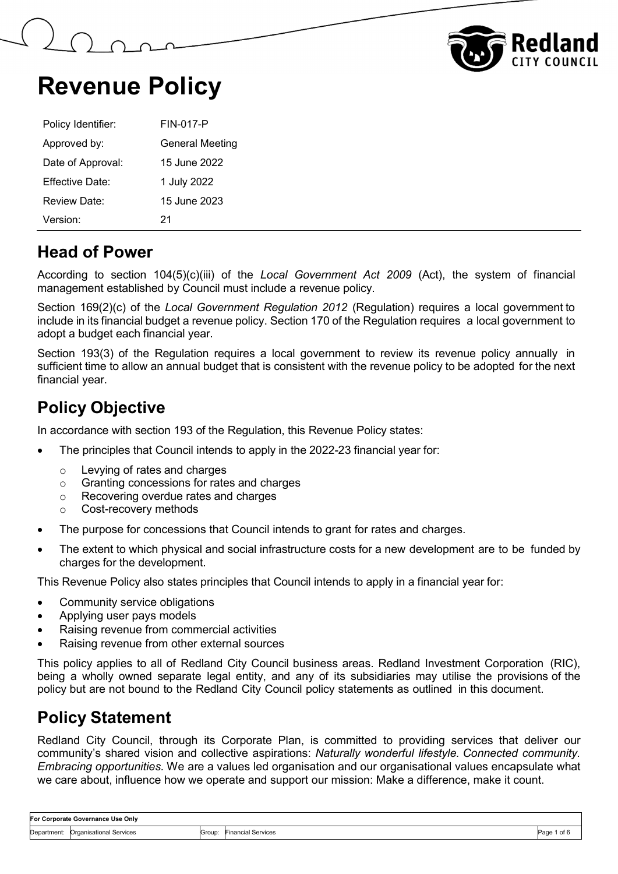



| Policy Identifier: | <b>FIN-017-P</b>       |
|--------------------|------------------------|
| Approved by:       | <b>General Meeting</b> |
| Date of Approval:  | 15 June 2022           |
| Effective Date:    | 1 July 2022            |
| Review Date:       | 15 June 2023           |
| Version:           | 21                     |

### **Head of Power**

According to section 104(5)(c)(iii) of the *Local Government Act 2009* (Act), the system of financial management established by Council must include a revenue policy.

Section 169(2)(c) of the *Local Government Regulation 2012* (Regulation) requires a local government to include in its financial budget a revenue policy. Section 170 of the Regulation requires a local government to adopt a budget each financial year.

Section 193(3) of the Regulation requires a local government to review its revenue policy annually in sufficient time to allow an annual budget that is consistent with the revenue policy to be adopted for the next financial year.

## **Policy Objective**

In accordance with section 193 of the Regulation, this Revenue Policy states:

- The principles that Council intends to apply in the 2022-23 financial year for:
	- o Levying of rates and charges
	- o Granting concessions for rates and charges
	- o Recovering overdue rates and charges
	- Cost-recovery methods
- The purpose for concessions that Council intends to grant for rates and charges.
- The extent to which physical and social infrastructure costs for a new development are to be funded by charges for the development.

This Revenue Policy also states principles that Council intends to apply in a financial year for:

- Community service obligations
- Applying user pays models
- Raising revenue from commercial activities
- Raising revenue from other external sources

This policy applies to all of Redland City Council business areas. Redland Investment Corporation (RIC), being a wholly owned separate legal entity, and any of its subsidiaries may utilise the provisions of the policy but are not bound to the Redland City Council policy statements as outlined in this document.

### **Policy Statement**

Redland City Council, through its Corporate Plan, is committed to providing services that deliver our community's shared vision and collective aspirations: *Naturally wonderful lifestyle. Connected community. Embracing opportunities.* We are a values led organisation and our organisational values encapsulate what we care about, influence how we operate and support our mission: Make a difference, make it count.

| For Corporate Governance Use Onlv |                                |        |                           |                         |
|-----------------------------------|--------------------------------|--------|---------------------------|-------------------------|
| Department:                       | <b>Organisational Services</b> | Group: | <b>Financial Services</b> | 'oft<br>Dogo 1<br>ayu - |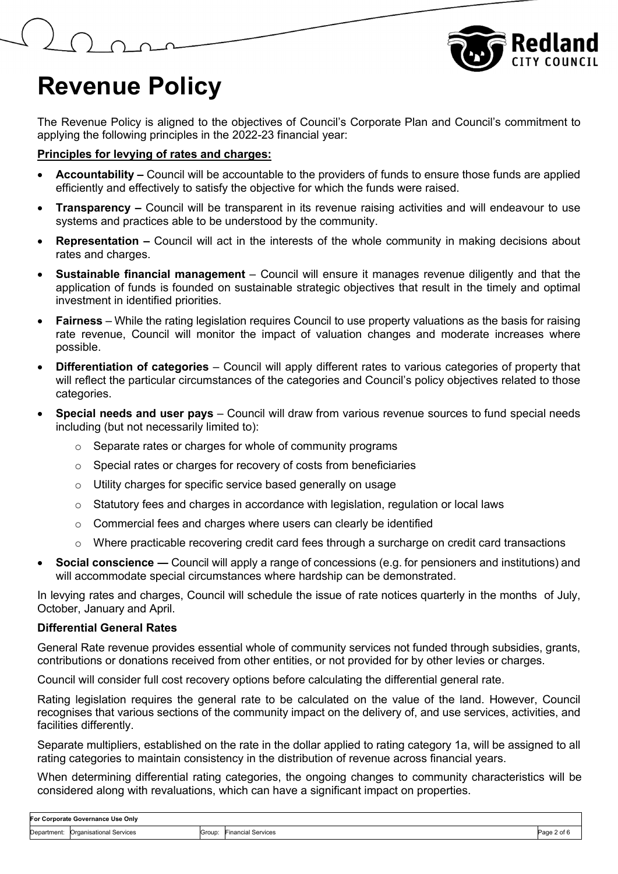

The Revenue Policy is aligned to the objectives of Council's Corporate Plan and Council's commitment to applying the following principles in the 2022-23 financial year:

#### **Principles for levying of rates and charges:**

- **Accountability –** Council will be accountable to the providers of funds to ensure those funds are applied efficiently and effectively to satisfy the objective for which the funds were raised.
- **Transparency –** Council will be transparent in its revenue raising activities and will endeavour to use systems and practices able to be understood by the community.
- **Representation –** Council will act in the interests of the whole community in making decisions about rates and charges.
- **Sustainable financial management**  Council will ensure it manages revenue diligently and that the application of funds is founded on sustainable strategic objectives that result in the timely and optimal investment in identified priorities.
- **Fairness** While the rating legislation requires Council to use property valuations as the basis for raising rate revenue, Council will monitor the impact of valuation changes and moderate increases where possible.
- **Differentiation of categories**  Council will apply different rates to various categories of property that will reflect the particular circumstances of the categories and Council's policy objectives related to those categories.
- **Special needs and user pays** Council will draw from various revenue sources to fund special needs including (but not necessarily limited to):
	- $\circ$  Separate rates or charges for whole of community programs
	- o Special rates or charges for recovery of costs from beneficiaries
	- o Utility charges for specific service based generally on usage
	- o Statutory fees and charges in accordance with legislation, regulation or local laws
	- o Commercial fees and charges where users can clearly be identified
	- $\circ$  Where practicable recovering credit card fees through a surcharge on credit card transactions
- **Social conscience ―** Council will apply a range of concessions (e.g. for pensioners and institutions) and will accommodate special circumstances where hardship can be demonstrated.

In levying rates and charges, Council will schedule the issue of rate notices quarterly in the months of July, October, January and April.

#### **Differential General Rates**

General Rate revenue provides essential whole of community services not funded through subsidies, grants, contributions or donations received from other entities, or not provided for by other levies or charges.

Council will consider full cost recovery options before calculating the differential general rate.

Rating legislation requires the general rate to be calculated on the value of the land. However, Council recognises that various sections of the community impact on the delivery of, and use services, activities, and facilities differently.

Separate multipliers, established on the rate in the dollar applied to rating category 1a, will be assigned to all rating categories to maintain consistency in the distribution of revenue across financial years.

When determining differential rating categories, the ongoing changes to community characteristics will be considered along with revaluations, which can have a significant impact on properties.

| For Corporate Governance Use Onlv |                                     |        |                    |           |
|-----------------------------------|-------------------------------------|--------|--------------------|-----------|
|                                   | Department: Organisational Services | Group: | Financial Services | Page 2 of |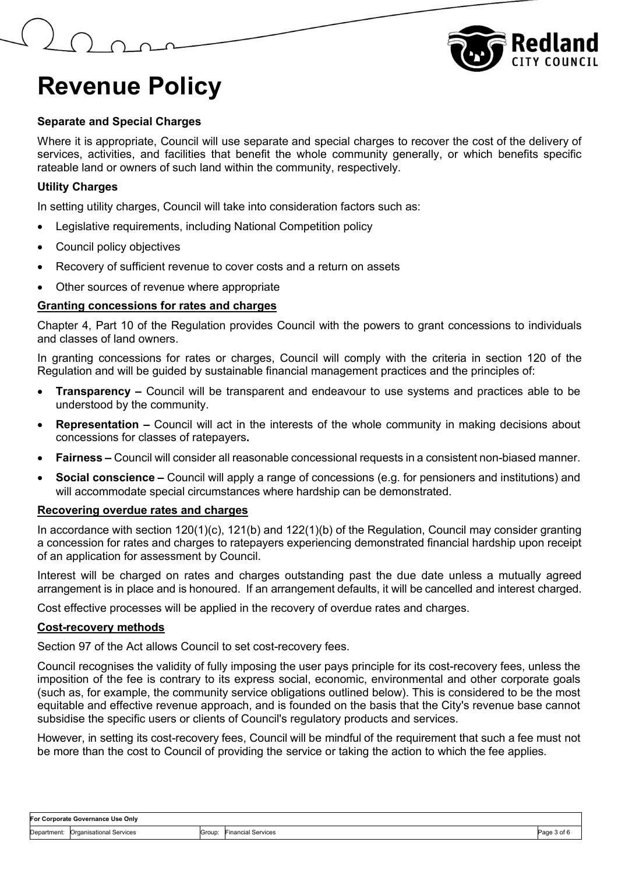



#### **Separate and Special Charges**

Where it is appropriate, Council will use separate and special charges to recover the cost of the delivery of services, activities, and facilities that benefit the whole community generally, or which benefits specific rateable land or owners of such land within the community, respectively.

#### **Utility Charges**

In setting utility charges, Council will take into consideration factors such as:

- Legislative requirements, including National Competition policy
- Council policy objectives
- Recovery of sufficient revenue to cover costs and a return on assets
- Other sources of revenue where appropriate

#### **Granting concessions for rates and charges**

Chapter 4, Part 10 of the Regulation provides Council with the powers to grant concessions to individuals and classes of land owners.

In granting concessions for rates or charges, Council will comply with the criteria in section 120 of the Regulation and will be guided by sustainable financial management practices and the principles of:

- **Transparency –** Council will be transparent and endeavour to use systems and practices able to be understood by the community.
- **Representation –** Council will act in the interests of the whole community in making decisions about concessions for classes of ratepayers**.**
- **Fairness –** Council will consider all reasonable concessional requests in a consistent non-biased manner.
- **Social conscience –** Council will apply a range of concessions (e.g. for pensioners and institutions) and will accommodate special circumstances where hardship can be demonstrated.

#### **Recovering overdue rates and charges**

In accordance with section 120(1)(c), 121(b) and 122(1)(b) of the Regulation, Council may consider granting a concession for rates and charges to ratepayers experiencing demonstrated financial hardship upon receipt of an application for assessment by Council.

Interest will be charged on rates and charges outstanding past the due date unless a mutually agreed arrangement is in place and is honoured. If an arrangement defaults, it will be cancelled and interest charged.

Cost effective processes will be applied in the recovery of overdue rates and charges.

#### **Cost-recovery methods**

Section 97 of the Act allows Council to set cost-recovery fees.

Council recognises the validity of fully imposing the user pays principle for its cost-recovery fees, unless the imposition of the fee is contrary to its express social, economic, environmental and other corporate goals (such as, for example, the community service obligations outlined below). This is considered to be the most equitable and effective revenue approach, and is founded on the basis that the City's revenue base cannot subsidise the specific users or clients of Council's regulatory products and services.

However, in setting its cost-recovery fees, Council will be mindful of the requirement that such a fee must not be more than the cost to Council of providing the service or taking the action to which the fee applies.

| For Corporate Governance Use Only |                                     |        |                           |             |
|-----------------------------------|-------------------------------------|--------|---------------------------|-------------|
|                                   | Department: Organisational Services | Group: | <b>Financial Services</b> | Page 3 of 6 |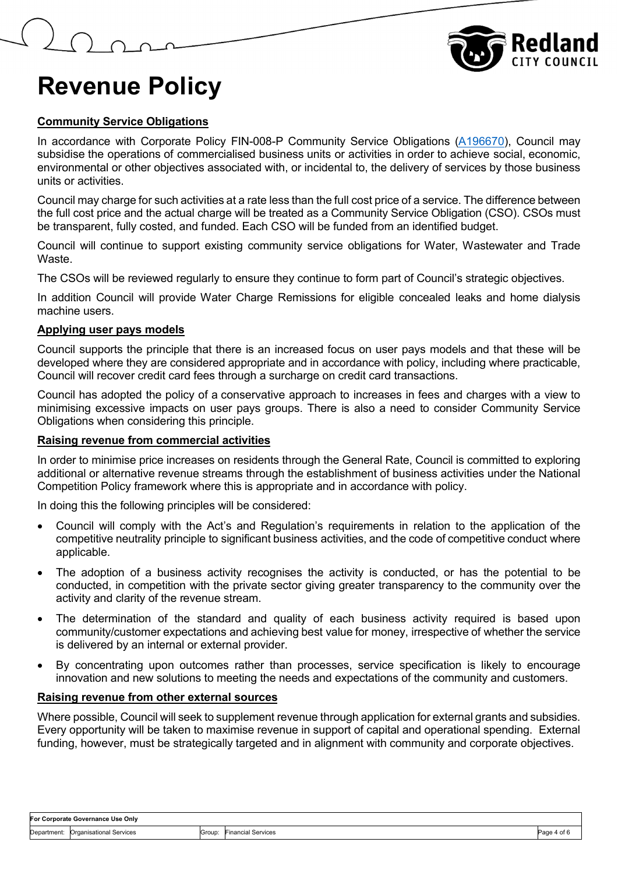

#### **Community Service Obligations**

In accordance with Corporate Policy FIN-008-P Community Service Obligations [\(A196670\)](https://edrms-prd.rccprd.redland.qld.gov.au/id:A196670/document/versions/published), Council may subsidise the operations of commercialised business units or activities in order to achieve social, economic, environmental or other objectives associated with, or incidental to, the delivery of services by those business units or activities.

Council may charge for such activities at a rate less than the full cost price of a service. The difference between the full cost price and the actual charge will be treated as a Community Service Obligation (CSO). CSOs must be transparent, fully costed, and funded. Each CSO will be funded from an identified budget.

Council will continue to support existing community service obligations for Water, Wastewater and Trade Waste.

The CSOs will be reviewed regularly to ensure they continue to form part of Council's strategic objectives.

In addition Council will provide Water Charge Remissions for eligible concealed leaks and home dialysis machine users.

#### **Applying user pays models**

Council supports the principle that there is an increased focus on user pays models and that these will be developed where they are considered appropriate and in accordance with policy, including where practicable, Council will recover credit card fees through a surcharge on credit card transactions.

Council has adopted the policy of a conservative approach to increases in fees and charges with a view to minimising excessive impacts on user pays groups. There is also a need to consider Community Service Obligations when considering this principle.

#### **Raising revenue from commercial activities**

In order to minimise price increases on residents through the General Rate, Council is committed to exploring additional or alternative revenue streams through the establishment of business activities under the National Competition Policy framework where this is appropriate and in accordance with policy.

In doing this the following principles will be considered:

- Council will comply with the Act's and Regulation's requirements in relation to the application of the competitive neutrality principle to significant business activities, and the code of competitive conduct where applicable.
- The adoption of a business activity recognises the activity is conducted, or has the potential to be conducted, in competition with the private sector giving greater transparency to the community over the activity and clarity of the revenue stream.
- The determination of the standard and quality of each business activity required is based upon community/customer expectations and achieving best value for money, irrespective of whether the service is delivered by an internal or external provider.
- By concentrating upon outcomes rather than processes, service specification is likely to encourage innovation and new solutions to meeting the needs and expectations of the community and customers.

#### **Raising revenue from other external sources**

Where possible, Council will seek to supplement revenue through application for external grants and subsidies. Every opportunity will be taken to maximise revenue in support of capital and operational spending. External funding, however, must be strategically targeted and in alignment with community and corporate objectives.

| For Corporate Governance Use Only |                                     |        |                           |             |
|-----------------------------------|-------------------------------------|--------|---------------------------|-------------|
|                                   | Department: Organisational Services | Group: | <b>Financial Services</b> | Page 4 of 6 |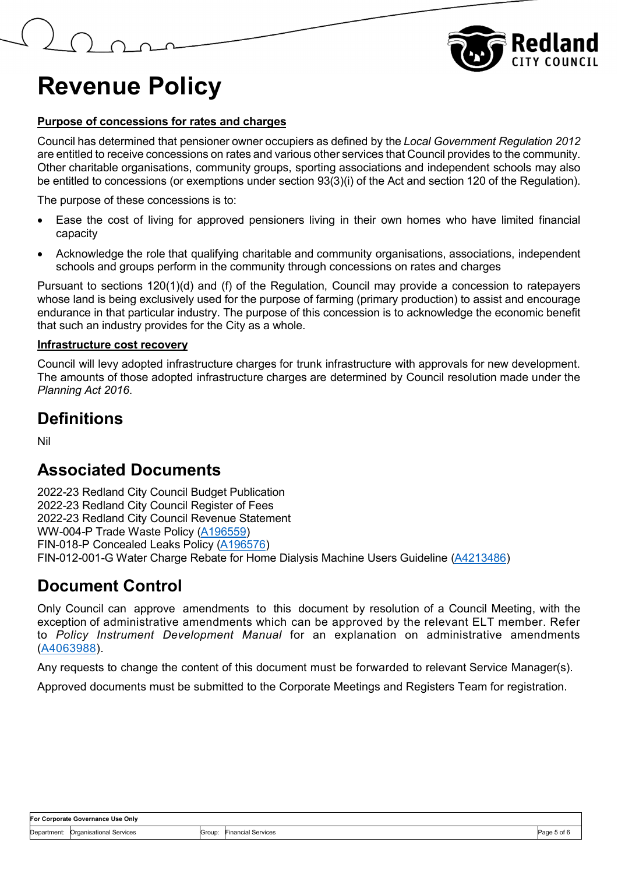

#### **Purpose of concessions for rates and charges**

Council has determined that pensioner owner occupiers as defined by the *Local Government Regulation 2012* are entitled to receive concessions on rates and various other services that Council provides to the community. Other charitable organisations, community groups, sporting associations and independent schools may also be entitled to concessions (or exemptions under section 93(3)(i) of the Act and section 120 of the Regulation).

The purpose of these concessions is to:

- Ease the cost of living for approved pensioners living in their own homes who have limited financial capacity
- Acknowledge the role that qualifying charitable and community organisations, associations, independent schools and groups perform in the community through concessions on rates and charges

Pursuant to sections 120(1)(d) and (f) of the Regulation, Council may provide a concession to ratepayers whose land is being exclusively used for the purpose of farming (primary production) to assist and encourage endurance in that particular industry. The purpose of this concession is to acknowledge the economic benefit that such an industry provides for the City as a whole.

#### **Infrastructure cost recovery**

Council will levy adopted infrastructure charges for trunk infrastructure with approvals for new development. The amounts of those adopted infrastructure charges are determined by Council resolution made under the *Planning Act 2016*.

### **Definitions**

Nil

### **Associated Documents**

2022-23 Redland City Council Budget Publication 2022-23 Redland City Council Register of Fees 2022-23 Redland City Council Revenue Statement WW-004-P Trade Waste Policy (A196559) FIN-018-P Concealed Leaks Policy (A196576) FIN-012-001-G Water Charge Rebate for Home Dialysis Machine Users Guideline (A4213486)

### **Document Control**

Only Council can approve amendments to this document by resolution of a Council Meeting, with the exception of administrative amendments which can be approved by the relevant ELT member. Refer to *Policy Instrument Development Manual* for an explanation on administrative amendments [\(A4063988\)](https://edrms-prd.rccprd.redland.qld.gov.au/id:A4063988/document/versions/published).

Any requests to change the content of this document must be forwarded to relevant Service Manager(s).

Approved documents must be submitted to the Corporate Meetings and Registers Team for registration.

| For Corporate Governance Use Only |                                     |  |                           |             |
|-----------------------------------|-------------------------------------|--|---------------------------|-------------|
|                                   | Department: Organisational Services |  | Group: Financial Services | Page 5 of 6 |